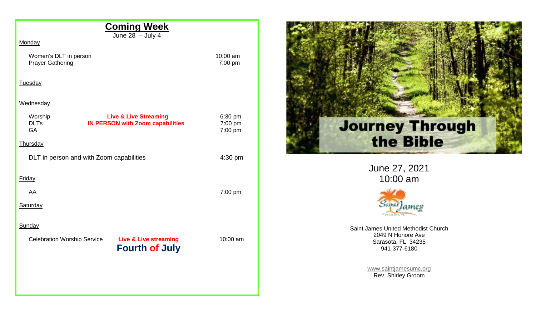| June $28 -$ July 4<br>Monday                                                                                |                               |  |
|-------------------------------------------------------------------------------------------------------------|-------------------------------|--|
| Women's DLT in person<br><b>Prayer Gathering</b>                                                            | 10:00 am<br>7:00 pm           |  |
| Tuesday                                                                                                     |                               |  |
| Wednesday                                                                                                   |                               |  |
| <b>Live &amp; Live Streaming</b><br>Worship<br><b>DLTs</b><br><b>IN PERSON with Zoom capabilities</b><br>GA | 6:30 pm<br>7:00 pm<br>7:00 pm |  |
| Thursday                                                                                                    |                               |  |
| DLT in person and with Zoom capabilities                                                                    | 4:30 pm                       |  |
| Friday                                                                                                      |                               |  |
| AA                                                                                                          | 7:00 pm                       |  |
| Saturday                                                                                                    |                               |  |
| Sunday                                                                                                      |                               |  |
| <b>Live &amp; Live streaming</b><br><b>Celebration Worship Service</b><br><b>Fourth of July</b>             | 10:00 am                      |  |
|                                                                                                             |                               |  |



June 27, 2021 10:00 am



Saint James United Methodist Church 2049 N Honore Ave Sarasota, FL 34235 941-377-6180

> [www.saintjamesumc.org](http://www.saintjamesumc.org/) Rev. Shirley Groom